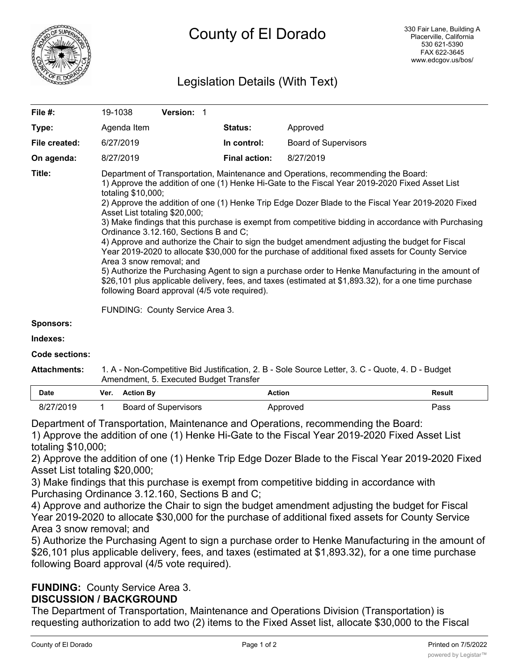

## Legislation Details (With Text)

| File $#$ :          | 19-1038                                                                                                                                                                                                                                                                                                                                                                                                                                                                                                                                                                                                                                                                                                                                                                                                                                                                                                                                                                                                                                  | Version: 1 |                      |                             |               |  |  |
|---------------------|------------------------------------------------------------------------------------------------------------------------------------------------------------------------------------------------------------------------------------------------------------------------------------------------------------------------------------------------------------------------------------------------------------------------------------------------------------------------------------------------------------------------------------------------------------------------------------------------------------------------------------------------------------------------------------------------------------------------------------------------------------------------------------------------------------------------------------------------------------------------------------------------------------------------------------------------------------------------------------------------------------------------------------------|------------|----------------------|-----------------------------|---------------|--|--|
| Type:               | Agenda Item                                                                                                                                                                                                                                                                                                                                                                                                                                                                                                                                                                                                                                                                                                                                                                                                                                                                                                                                                                                                                              |            | Status:              | Approved                    |               |  |  |
| File created:       | 6/27/2019                                                                                                                                                                                                                                                                                                                                                                                                                                                                                                                                                                                                                                                                                                                                                                                                                                                                                                                                                                                                                                |            | In control:          | <b>Board of Supervisors</b> |               |  |  |
| On agenda:          | 8/27/2019                                                                                                                                                                                                                                                                                                                                                                                                                                                                                                                                                                                                                                                                                                                                                                                                                                                                                                                                                                                                                                |            | <b>Final action:</b> | 8/27/2019                   |               |  |  |
| Title:              | Department of Transportation, Maintenance and Operations, recommending the Board:<br>1) Approve the addition of one (1) Henke Hi-Gate to the Fiscal Year 2019-2020 Fixed Asset List<br>totaling \$10,000;<br>2) Approve the addition of one (1) Henke Trip Edge Dozer Blade to the Fiscal Year 2019-2020 Fixed<br>Asset List totaling \$20,000;<br>3) Make findings that this purchase is exempt from competitive bidding in accordance with Purchasing<br>Ordinance 3.12.160, Sections B and C;<br>4) Approve and authorize the Chair to sign the budget amendment adjusting the budget for Fiscal<br>Year 2019-2020 to allocate \$30,000 for the purchase of additional fixed assets for County Service<br>Area 3 snow removal; and<br>5) Authorize the Purchasing Agent to sign a purchase order to Henke Manufacturing in the amount of<br>\$26,101 plus applicable delivery, fees, and taxes (estimated at \$1,893.32), for a one time purchase<br>following Board approval (4/5 vote required).<br>FUNDING: County Service Area 3. |            |                      |                             |               |  |  |
| <b>Sponsors:</b>    |                                                                                                                                                                                                                                                                                                                                                                                                                                                                                                                                                                                                                                                                                                                                                                                                                                                                                                                                                                                                                                          |            |                      |                             |               |  |  |
| Indexes:            |                                                                                                                                                                                                                                                                                                                                                                                                                                                                                                                                                                                                                                                                                                                                                                                                                                                                                                                                                                                                                                          |            |                      |                             |               |  |  |
| Code sections:      |                                                                                                                                                                                                                                                                                                                                                                                                                                                                                                                                                                                                                                                                                                                                                                                                                                                                                                                                                                                                                                          |            |                      |                             |               |  |  |
| <b>Attachments:</b> | 1. A - Non-Competitive Bid Justification, 2. B - Sole Source Letter, 3. C - Quote, 4. D - Budget<br>Amendment, 5. Executed Budget Transfer                                                                                                                                                                                                                                                                                                                                                                                                                                                                                                                                                                                                                                                                                                                                                                                                                                                                                               |            |                      |                             |               |  |  |
| <b>Date</b>         | <b>Action By</b><br>Ver.                                                                                                                                                                                                                                                                                                                                                                                                                                                                                                                                                                                                                                                                                                                                                                                                                                                                                                                                                                                                                 |            | <b>Action</b>        |                             | <b>Result</b> |  |  |

| <u>nam</u> | . | AVUVII PY            | <b>1000000</b> | .    |
|------------|---|----------------------|----------------|------|
| 8/27/2019  |   | Board of Supervisors | Approved       | צass |

Department of Transportation, Maintenance and Operations, recommending the Board:

1) Approve the addition of one (1) Henke Hi-Gate to the Fiscal Year 2019-2020 Fixed Asset List totaling \$10,000;

2) Approve the addition of one (1) Henke Trip Edge Dozer Blade to the Fiscal Year 2019-2020 Fixed Asset List totaling \$20,000;

3) Make findings that this purchase is exempt from competitive bidding in accordance with Purchasing Ordinance 3.12.160, Sections B and C;

4) Approve and authorize the Chair to sign the budget amendment adjusting the budget for Fiscal Year 2019-2020 to allocate \$30,000 for the purchase of additional fixed assets for County Service Area 3 snow removal; and

5) Authorize the Purchasing Agent to sign a purchase order to Henke Manufacturing in the amount of \$26,101 plus applicable delivery, fees, and taxes (estimated at \$1,893.32), for a one time purchase following Board approval (4/5 vote required).

# **FUNDING:** County Service Area 3.

## **DISCUSSION / BACKGROUND**

The Department of Transportation, Maintenance and Operations Division (Transportation) is requesting authorization to add two (2) items to the Fixed Asset list, allocate \$30,000 to the Fiscal